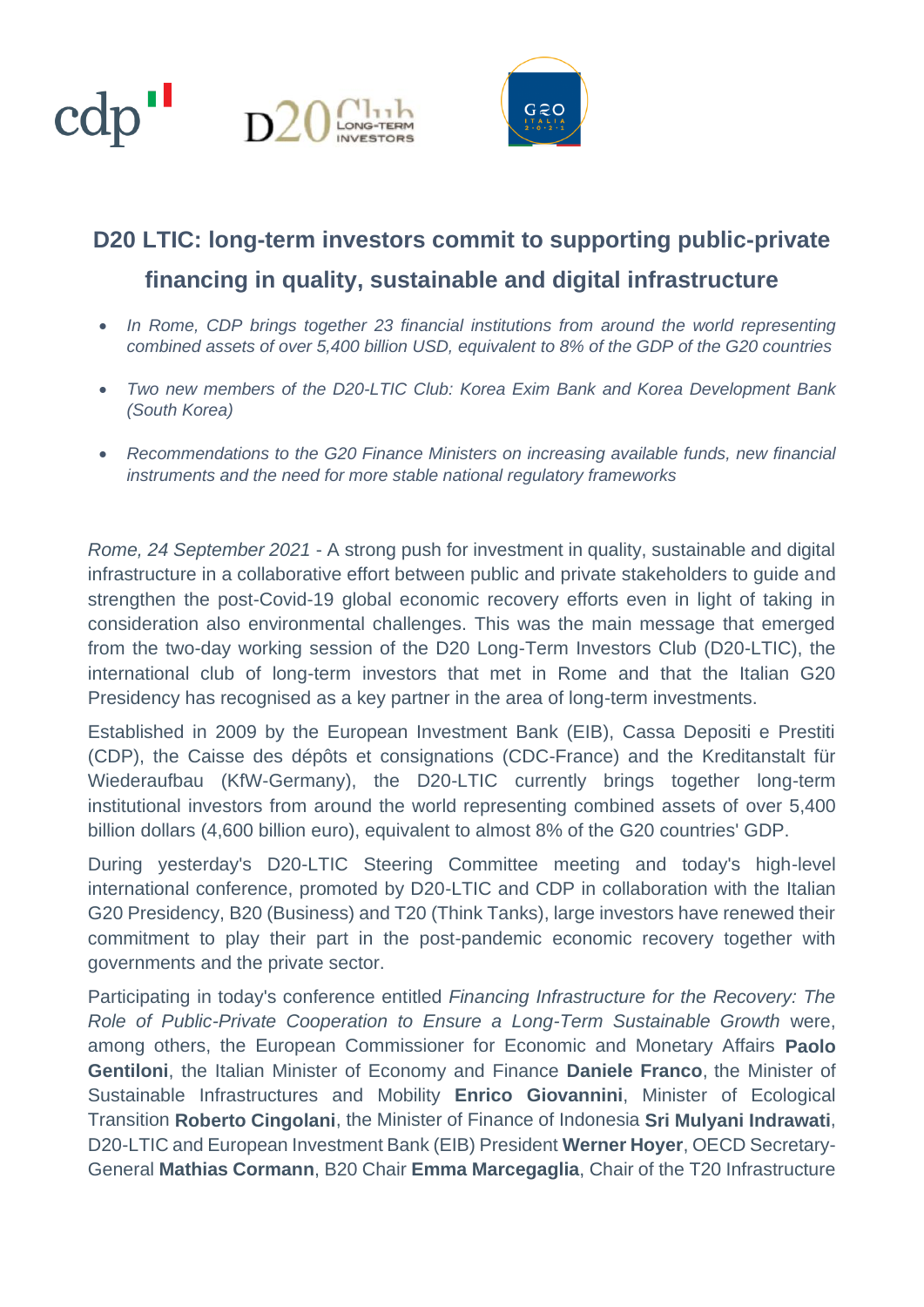



## **D20 LTIC: long-term investors commit to supporting public-private financing in quality, sustainable and digital infrastructure**

- *In Rome, CDP brings together 23 financial institutions from around the world representing combined assets of over 5,400 billion USD, equivalent to 8% of the GDP of the G20 countries*
- *Two new members of the D20-LTIC Club: Korea Exim Bank and Korea Development Bank (South Korea)*
- *Recommendations to the G20 Finance Ministers on increasing available funds, new financial instruments and the need for more stable national regulatory frameworks*

*Rome, 24 September 2021* - A strong push for investment in quality, sustainable and digital infrastructure in a collaborative effort between public and private stakeholders to guide and strengthen the post-Covid-19 global economic recovery efforts even in light of taking in consideration also environmental challenges. This was the main message that emerged from the two-day working session of the D20 Long-Term Investors Club (D20-LTIC), the international club of long-term investors that met in Rome and that the Italian G20 Presidency has recognised as a key partner in the area of long-term investments.

Established in 2009 by the European Investment Bank (EIB), Cassa Depositi e Prestiti (CDP), the Caisse des dépôts et consignations (CDC-France) and the Kreditanstalt für Wiederaufbau (KfW-Germany), the D20-LTIC currently brings together long-term institutional investors from around the world representing combined assets of over 5,400 billion dollars (4,600 billion euro), equivalent to almost 8% of the G20 countries' GDP.

During yesterday's D20-LTIC Steering Committee meeting and today's high-level international conference, promoted by D20-LTIC and CDP in collaboration with the Italian G20 Presidency, B20 (Business) and T20 (Think Tanks), large investors have renewed their commitment to play their part in the post-pandemic economic recovery together with governments and the private sector.

Participating in today's conference entitled *Financing Infrastructure for the Recovery: The Role of Public-Private Cooperation to Ensure a Long-Term Sustainable Growth* were, among others, the European Commissioner for Economic and Monetary Affairs **Paolo Gentiloni**, the Italian Minister of Economy and Finance **Daniele Franco**, the Minister of Sustainable Infrastructures and Mobility **Enrico Giovannini**, Minister of Ecological Transition **Roberto Cingolani**, the Minister of Finance of Indonesia **Sri Mulyani Indrawati**, D20-LTIC and European Investment Bank (EIB) President **Werner Hoyer**, OECD Secretary-General **Mathias Cormann**, B20 Chair **Emma Marcegaglia**, Chair of the T20 Infrastructure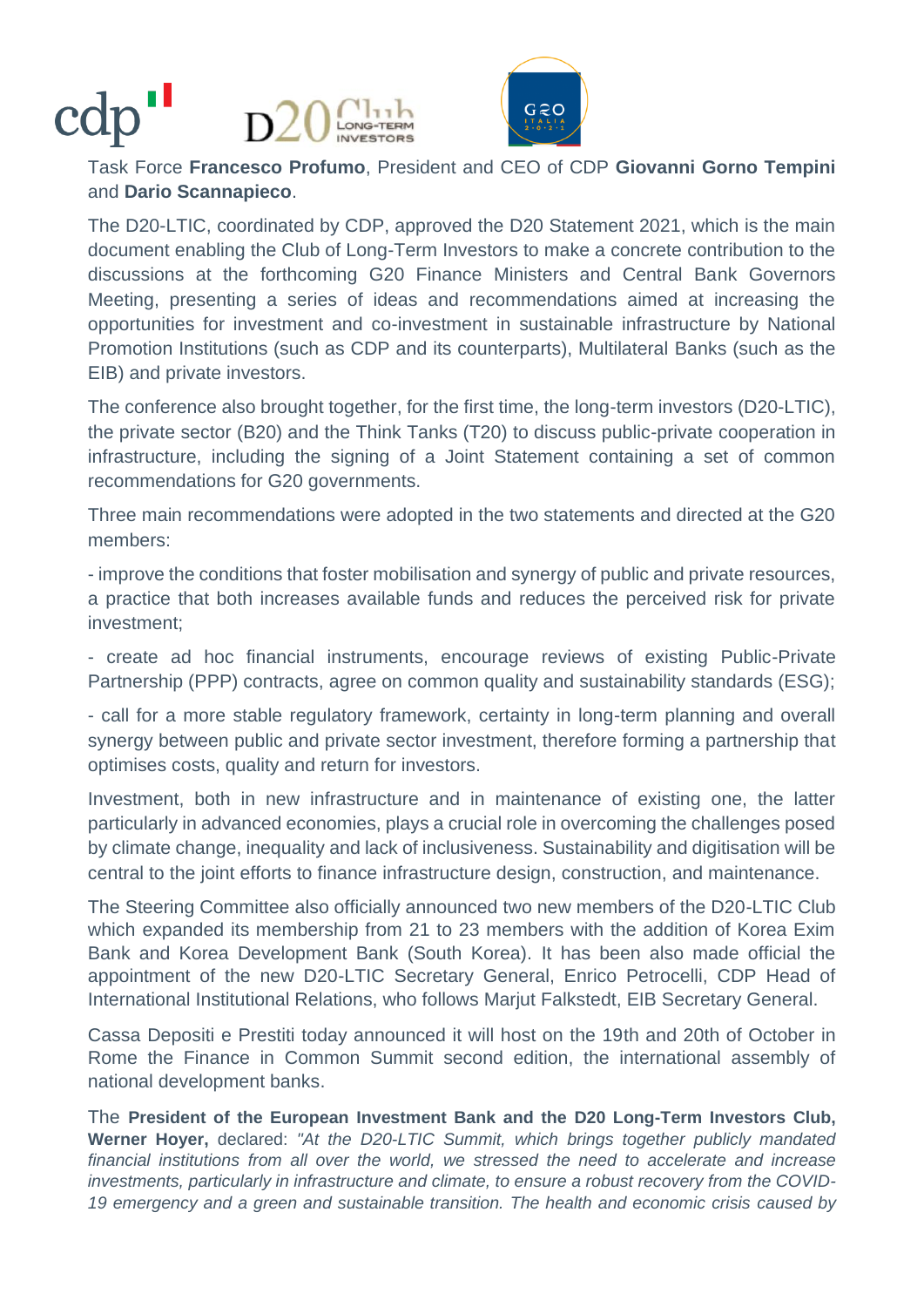# 



Task Force **Francesco Profumo**, President and CEO of CDP **Giovanni Gorno Tempini** and **Dario Scannapieco**.

The D20-LTIC, coordinated by CDP, approved the D20 Statement 2021, which is the main document enabling the Club of Long-Term Investors to make a concrete contribution to the discussions at the forthcoming G20 Finance Ministers and Central Bank Governors Meeting, presenting a series of ideas and recommendations aimed at increasing the opportunities for investment and co-investment in sustainable infrastructure by National Promotion Institutions (such as CDP and its counterparts), Multilateral Banks (such as the EIB) and private investors.

The conference also brought together, for the first time, the long-term investors (D20-LTIC), the private sector (B20) and the Think Tanks (T20) to discuss public-private cooperation in infrastructure, including the signing of a Joint Statement containing a set of common recommendations for G20 governments.

Three main recommendations were adopted in the two statements and directed at the G20 members:

- improve the conditions that foster mobilisation and synergy of public and private resources, a practice that both increases available funds and reduces the perceived risk for private investment;

- create ad hoc financial instruments, encourage reviews of existing Public-Private Partnership (PPP) contracts, agree on common quality and sustainability standards (ESG);

- call for a more stable regulatory framework, certainty in long-term planning and overall synergy between public and private sector investment, therefore forming a partnership that optimises costs, quality and return for investors.

Investment, both in new infrastructure and in maintenance of existing one, the latter particularly in advanced economies, plays a crucial role in overcoming the challenges posed by climate change, inequality and lack of inclusiveness. Sustainability and digitisation will be central to the joint efforts to finance infrastructure design, construction, and maintenance.

The Steering Committee also officially announced two new members of the D20-LTIC Club which expanded its membership from 21 to 23 members with the addition of Korea Exim Bank and Korea Development Bank (South Korea). It has been also made official the appointment of the new D20-LTIC Secretary General, Enrico Petrocelli, CDP Head of International Institutional Relations, who follows Marjut Falkstedt, EIB Secretary General.

Cassa Depositi e Prestiti today announced it will host on the 19th and 20th of October in Rome the Finance in Common Summit second edition, the international assembly of national development banks.

The **President of the European Investment Bank and the D20 Long-Term Investors Club, Werner Hoyer,** declared: *"At the D20-LTIC Summit, which brings together publicly mandated financial institutions from all over the world, we stressed the need to accelerate and increase investments, particularly in infrastructure and climate, to ensure a robust recovery from the COVID-19 emergency and a green and sustainable transition. The health and economic crisis caused by*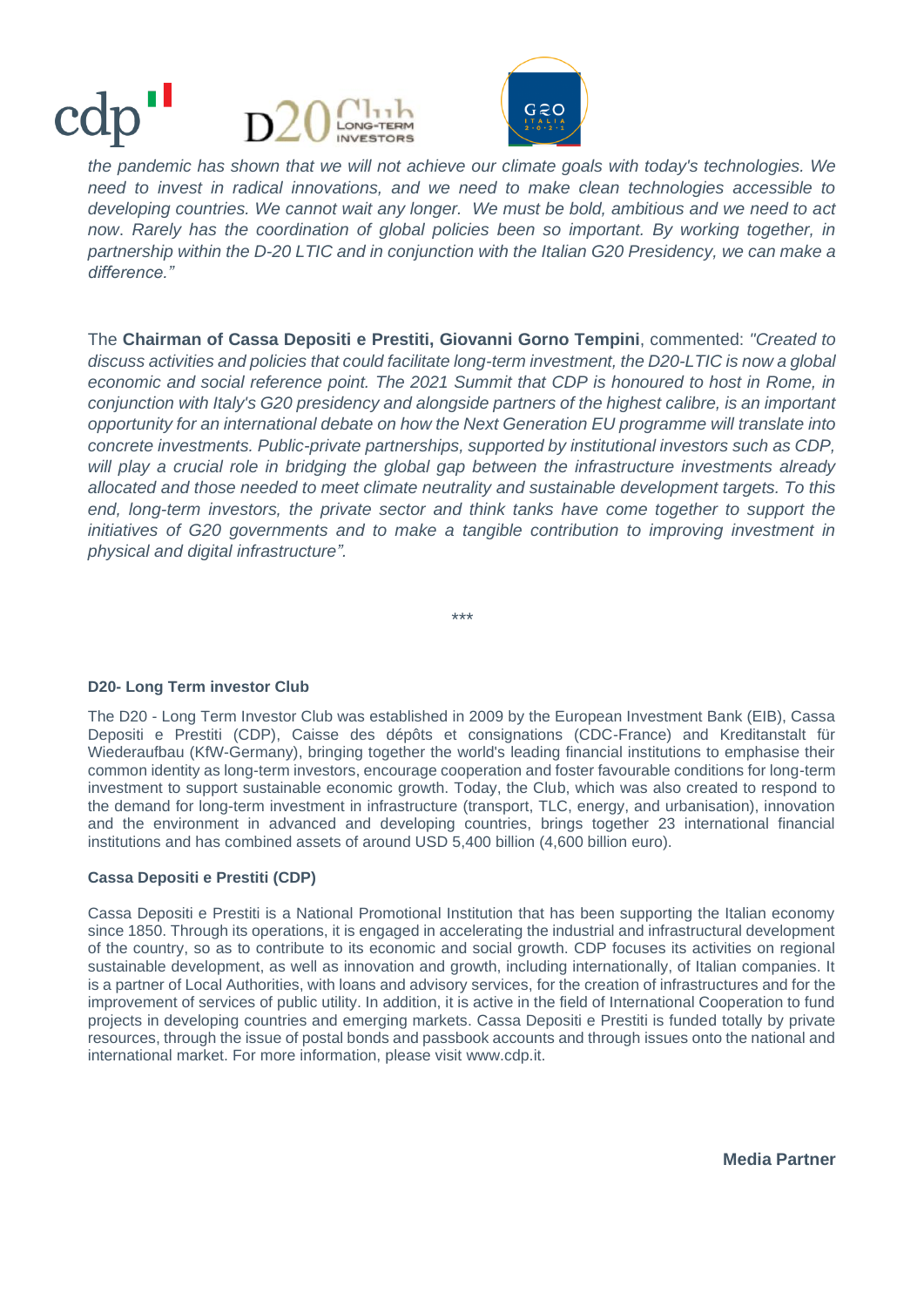## TERM **UVESTORS**



*the pandemic has shown that we will not achieve our climate goals with today's technologies. We need to invest in radical innovations, and we need to make clean technologies accessible to developing countries. We cannot wait any longer. We must be bold, ambitious and we need to act now*. *Rarely has the coordination of global policies been so important. By working together, in partnership within the D-20 LTIC and in conjunction with the Italian G20 Presidency, we can make a difference."*

The **Chairman of Cassa Depositi e Prestiti, Giovanni Gorno Tempini**, commented: *"Created to discuss activities and policies that could facilitate long-term investment, the D20-LTIC is now a global economic and social reference point. The 2021 Summit that CDP is honoured to host in Rome, in conjunction with Italy's G20 presidency and alongside partners of the highest calibre, is an important opportunity for an international debate on how the Next Generation EU programme will translate into concrete investments. Public-private partnerships, supported by institutional investors such as CDP,*  will play a crucial role in bridging the global gap between the infrastructure investments already *allocated and those needed to meet climate neutrality and sustainable development targets. To this*  end, long-term investors, the private sector and think tanks have come together to support the *initiatives of G20 governments and to make a tangible contribution to improving investment in physical and digital infrastructure".*

**D20- Long Term investor Club** 

The D20 - Long Term Investor Club was established in 2009 by the European Investment Bank (EIB), Cassa Depositi e Prestiti (CDP), Caisse des dépôts et consignations (CDC-France) and Kreditanstalt für Wiederaufbau (KfW-Germany), bringing together the world's leading financial institutions to emphasise their common identity as long-term investors, encourage cooperation and foster favourable conditions for long-term investment to support sustainable economic growth. Today, the Club, which was also created to respond to the demand for long-term investment in infrastructure (transport, TLC, energy, and urbanisation), innovation and the environment in advanced and developing countries, brings together 23 international financial institutions and has combined assets of around USD 5,400 billion (4,600 billion euro).

*\*\*\**

#### **Cassa Depositi e Prestiti (CDP)**

Cassa Depositi e Prestiti is a National Promotional Institution that has been supporting the Italian economy since 1850. Through its operations, it is engaged in accelerating the industrial and infrastructural development of the country, so as to contribute to its economic and social growth. CDP focuses its activities on regional sustainable development, as well as innovation and growth, including internationally, of Italian companies. It is a partner of Local Authorities, with loans and advisory services, for the creation of infrastructures and for the improvement of services of public utility. In addition, it is active in the field of International Cooperation to fund projects in developing countries and emerging markets. Cassa Depositi e Prestiti is funded totally by private resources, through the issue of postal bonds and passbook accounts and through issues onto the national and international market. For more information, please visit [www.cdp.it.](http://www.cdp.it/)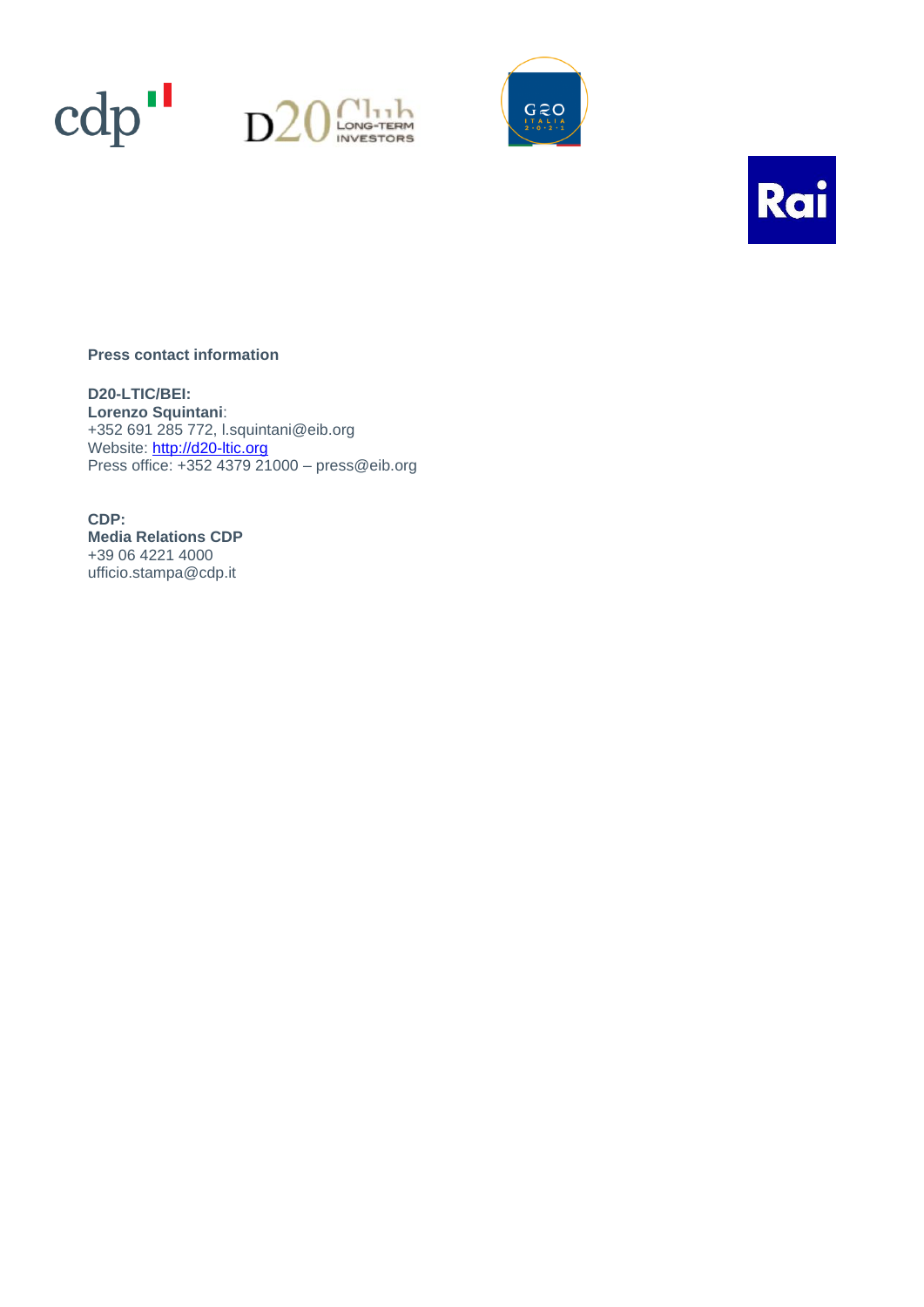







#### **Press contact information**

**D20-LTIC/BEI: Lorenzo Squintani**: +352 691 285 772, [l.squintani@eib.org](mailto:l.squintani@eib.org) Website: [http://d20-ltic.org](http://d20-ltic.org/) Press office: +352 4379 21000 – [press@eib.org](mailto:press@eib.org)

**CDP: Media Relations CDP**  +39 06 4221 4000 [ufficio.stampa@cdp.it](about:blank)